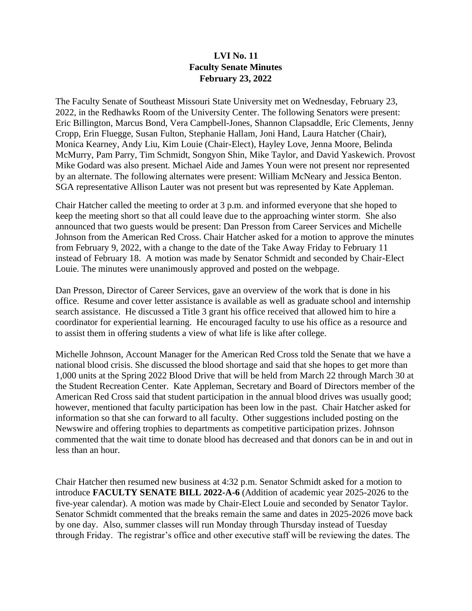## **LVI No. 11 Faculty Senate Minutes February 23, 2022**

The Faculty Senate of Southeast Missouri State University met on Wednesday, February 23, 2022, in the Redhawks Room of the University Center. The following Senators were present: Eric Billington, Marcus Bond, Vera Campbell-Jones, Shannon Clapsaddle, Eric Clements, Jenny Cropp, Erin Fluegge, Susan Fulton, Stephanie Hallam, Joni Hand, Laura Hatcher (Chair), Monica Kearney, Andy Liu, Kim Louie (Chair-Elect), Hayley Love, Jenna Moore, Belinda McMurry, Pam Parry, Tim Schmidt, Songyon Shin, Mike Taylor, and David Yaskewich. Provost Mike Godard was also present. Michael Aide and James Youn were not present nor represented by an alternate. The following alternates were present: William McNeary and Jessica Benton. SGA representative Allison Lauter was not present but was represented by Kate Appleman.

Chair Hatcher called the meeting to order at 3 p.m. and informed everyone that she hoped to keep the meeting short so that all could leave due to the approaching winter storm. She also announced that two guests would be present: Dan Presson from Career Services and Michelle Johnson from the American Red Cross. Chair Hatcher asked for a motion to approve the minutes from February 9, 2022, with a change to the date of the Take Away Friday to February 11 instead of February 18. A motion was made by Senator Schmidt and seconded by Chair-Elect Louie. The minutes were unanimously approved and posted on the webpage.

Dan Presson, Director of Career Services, gave an overview of the work that is done in his office. Resume and cover letter assistance is available as well as graduate school and internship search assistance. He discussed a Title 3 grant his office received that allowed him to hire a coordinator for experiential learning. He encouraged faculty to use his office as a resource and to assist them in offering students a view of what life is like after college.

Michelle Johnson, Account Manager for the American Red Cross told the Senate that we have a national blood crisis. She discussed the blood shortage and said that she hopes to get more than 1,000 units at the Spring 2022 Blood Drive that will be held from March 22 through March 30 at the Student Recreation Center. Kate Appleman, Secretary and Board of Directors member of the American Red Cross said that student participation in the annual blood drives was usually good; however, mentioned that faculty participation has been low in the past. Chair Hatcher asked for information so that she can forward to all faculty. Other suggestions included posting on the Newswire and offering trophies to departments as competitive participation prizes. Johnson commented that the wait time to donate blood has decreased and that donors can be in and out in less than an hour.

Chair Hatcher then resumed new business at 4:32 p.m. Senator Schmidt asked for a motion to introduce **FACULTY SENATE BILL 2022-A-6** (Addition of academic year 2025-2026 to the five-year calendar). A motion was made by Chair-Elect Louie and seconded by Senator Taylor. Senator Schmidt commented that the breaks remain the same and dates in 2025-2026 move back by one day. Also, summer classes will run Monday through Thursday instead of Tuesday through Friday. The registrar's office and other executive staff will be reviewing the dates. The